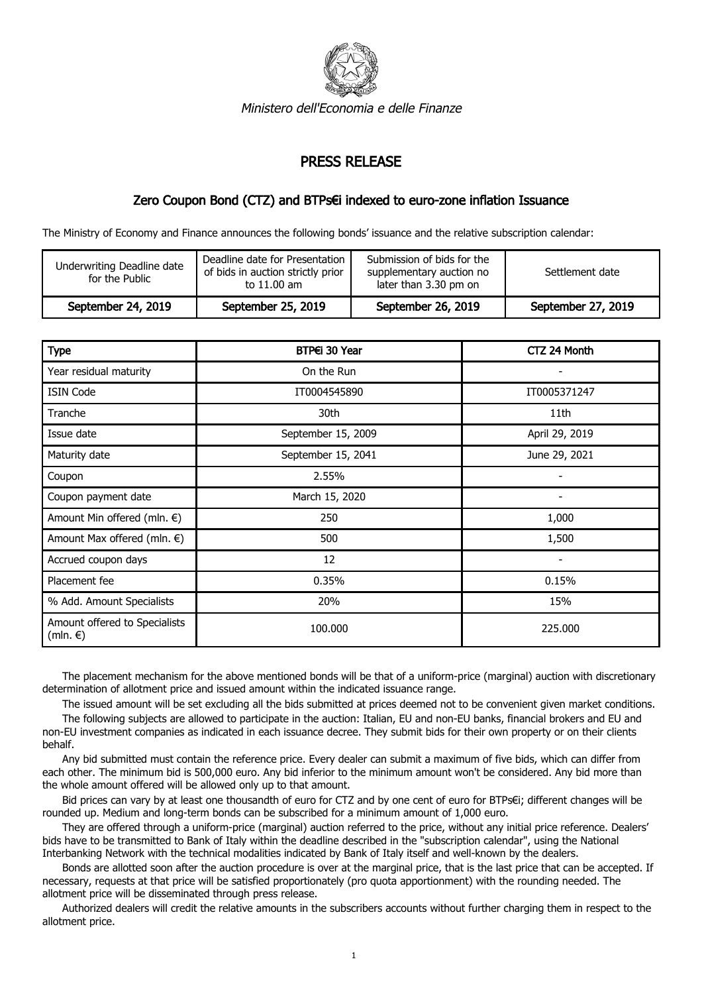

Ministero dell'Economia e delle Finanze

## PRESS RELEASE

## Zero Coupon Bond (CTZ) and BTPs€i indexed to euro-zone inflation Issuance

The Ministry of Economy and Finance announces the following bonds' issuance and the relative subscription calendar:

| Underwriting Deadline date<br>for the Public | Deadline date for Presentation 1<br>of bids in auction strictly prior<br>to 11.00 am | Submission of bids for the<br>supplementary auction no<br>later than 3.30 pm on | Settlement date    |
|----------------------------------------------|--------------------------------------------------------------------------------------|---------------------------------------------------------------------------------|--------------------|
| September 24, 2019                           | September 25, 2019                                                                   | September 26, 2019                                                              | September 27, 2019 |

| <b>Type</b>                                        | BTP€i 30 Year      | CTZ 24 Month   |
|----------------------------------------------------|--------------------|----------------|
| Year residual maturity                             | On the Run         |                |
| <b>ISIN Code</b>                                   | IT0004545890       | IT0005371247   |
| Tranche                                            | 30th               | 11th           |
| Issue date                                         | September 15, 2009 | April 29, 2019 |
| Maturity date                                      | September 15, 2041 | June 29, 2021  |
| Coupon                                             | 2.55%              |                |
| Coupon payment date                                | March 15, 2020     |                |
| Amount Min offered (mln. €)                        | 250                | 1,000          |
| Amount Max offered (mln. €)                        | 500                | 1,500          |
| Accrued coupon days                                | 12                 |                |
| Placement fee                                      | 0.35%              | 0.15%          |
| % Add. Amount Specialists                          | 20%                | 15%            |
| Amount offered to Specialists<br>$(mln. \epsilon)$ | 100,000            | 225,000        |

 The placement mechanism for the above mentioned bonds will be that of a uniform-price (marginal) auction with discretionary determination of allotment price and issued amount within the indicated issuance range.

The issued amount will be set excluding all the bids submitted at prices deemed not to be convenient given market conditions.

 The following subjects are allowed to participate in the auction: Italian, EU and non-EU banks, financial brokers and EU and non-EU investment companies as indicated in each issuance decree. They submit bids for their own property or on their clients behalf.

 Any bid submitted must contain the reference price. Every dealer can submit a maximum of five bids, which can differ from each other. The minimum bid is 500,000 euro. Any bid inferior to the minimum amount won't be considered. Any bid more than the whole amount offered will be allowed only up to that amount.

 Bid prices can vary by at least one thousandth of euro for CTZ and by one cent of euro for BTPs€i; different changes will be rounded up. Medium and long-term bonds can be subscribed for a minimum amount of 1,000 euro.

 They are offered through a uniform-price (marginal) auction referred to the price, without any initial price reference. Dealers' bids have to be transmitted to Bank of Italy within the deadline described in the "subscription calendar", using the National Interbanking Network with the technical modalities indicated by Bank of Italy itself and well-known by the dealers.

 Bonds are allotted soon after the auction procedure is over at the marginal price, that is the last price that can be accepted. If necessary, requests at that price will be satisfied proportionately (pro quota apportionment) with the rounding needed. The allotment price will be disseminated through press release.

 Authorized dealers will credit the relative amounts in the subscribers accounts without further charging them in respect to the allotment price.